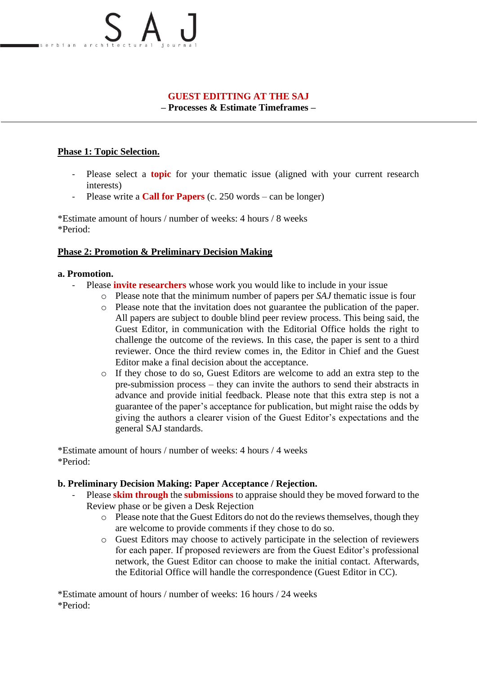# **GUEST EDITTING AT THE SAJ**

**– Processes & Estimate Timeframes –**

## **Phase 1: Topic Selection.**

- Please select a **topic** for your thematic issue (aligned with your current research interests)
- Please write a **Call for Papers** (c. 250 words can be longer)

\*Estimate amount of hours / number of weeks: 4 hours / 8 weeks \*Period:

## **Phase 2: Promotion & Preliminary Decision Making**

#### **a. Promotion.**

- Please **invite researchers** whose work you would like to include in your issue
	- o Please note that the minimum number of papers per *SAJ* thematic issue is four
	- o Please note that the invitation does not guarantee the publication of the paper. All papers are subject to double blind peer review process. This being said, the Guest Editor, in communication with the Editorial Office holds the right to challenge the outcome of the reviews. In this case, the paper is sent to a third reviewer. Once the third review comes in, the Editor in Chief and the Guest Editor make a final decision about the acceptance.
	- o If they chose to do so, Guest Editors are welcome to add an extra step to the pre-submission process – they can invite the authors to send their abstracts in advance and provide initial feedback. Please note that this extra step is not a guarantee of the paper's acceptance for publication, but might raise the odds by giving the authors a clearer vision of the Guest Editor's expectations and the general SAJ standards.

\*Estimate amount of hours / number of weeks: 4 hours / 4 weeks \*Period:

#### **b. Preliminary Decision Making: Paper Acceptance / Rejection.**

- Please **skim through** the **submissions** to appraise should they be moved forward to the Review phase or be given a Desk Rejection
	- o Please note that the Guest Editors do not do the reviews themselves, though they are welcome to provide comments if they chose to do so.
	- o Guest Editors may choose to actively participate in the selection of reviewers for each paper. If proposed reviewers are from the Guest Editor's professional network, the Guest Editor can choose to make the initial contact. Afterwards, the Editorial Office will handle the correspondence (Guest Editor in CC).

\*Estimate amount of hours / number of weeks: 16 hours / 24 weeks \*Period: